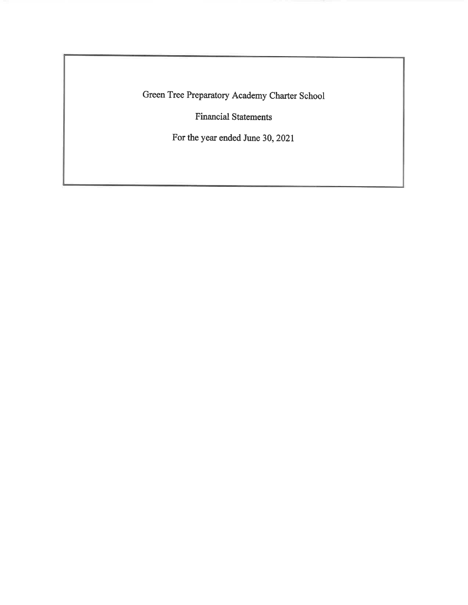Green Tree Preparatory Academy Charter School

Financial Statements

For the year ended June 30, 2021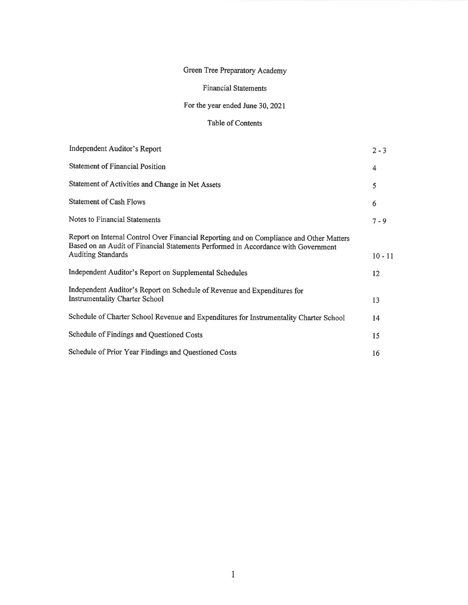# Green Tree Preparatory Academy

# Financial Statements

# For the year ended June 30, 2021

# Table of Contents

| Independent Auditor's Report                                                                                                                                                                              | $2 - 3$   |
|-----------------------------------------------------------------------------------------------------------------------------------------------------------------------------------------------------------|-----------|
| <b>Statement of Financial Position</b>                                                                                                                                                                    | 4         |
| Statement of Activities and Change in Net Assets                                                                                                                                                          | 5         |
| <b>Statement of Cash Flows</b>                                                                                                                                                                            | 6         |
| Notes to Financial Statements                                                                                                                                                                             | $7 - 9$   |
| Report on Internal Control Over Financial Reporting and on Compliance and Other Matters<br>Based on an Audit of Financial Statements Performed in Accordance with Government<br><b>Auditing Standards</b> | $10 - 11$ |
| Independent Auditor's Report on Supplemental Schedules                                                                                                                                                    | 12        |
| Independent Auditor's Report on Schedule of Revenue and Expenditures for<br><b>Instrumentality Charter School</b>                                                                                         | 13        |
| Schedule of Charter School Revenue and Expenditures for Instrumentality Charter School                                                                                                                    | 14        |
| Schedule of Findings and Questioned Costs                                                                                                                                                                 | 15        |
| Schedule of Prior Year Findings and Questioned Costs                                                                                                                                                      | 16        |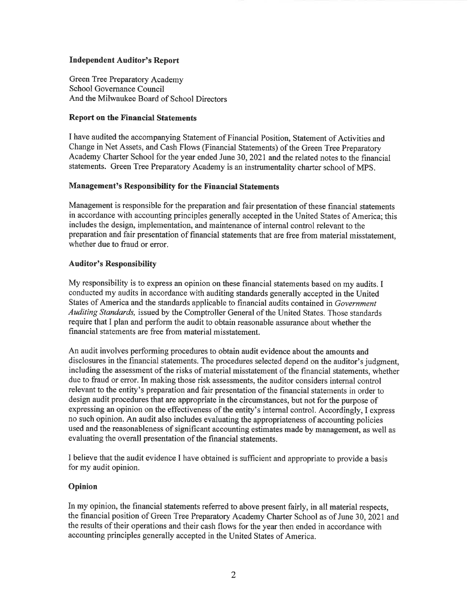# Independent Auditor's Report

Green Tree Preparatory Academy School Governance Council And the Milwaukee Board of School Directors

## Report on the Financial Statements

I have audited the accompanying Statement of Financial Position, Statement of Activities and Change in Net Assets, and Cash Flows (Financial Statements) of the Green Tree Preparatory Academy Charter School for the year ended June 30, 2021 and the related notes to the financial statements. Green Tree Preparatory Academy is an instrumentality charter school of MPS.

# Management's Responsibility for the Financial Statements

Management is responsible for the preparation and fair presentation of these financial statements in accordance with accounting principles generally accepted in the United States of America; this includes the design, implementation, and maintenance of internal control relevant to the preparation and fair presentation of financial statements that are free from material misstatement, whether due to fraud or error.

# Auditor's Responsibility

My responsibility is to express an opinion on these financial statements based on my audits. I conducted my audits in accordance with auditing standards generally accepted in the United States of America and the standards applicable to financial audits contained in Government Auditing Standards, issued by the Comptroller General of the United States. Those standards require that I plan and perform the audit to obtain reasonable assurance about whether the financial statements are free from material misstatement.

An audit involves performing procedures to obtain audit evidence about the amounts and disclosures in the financial statements. The procedures selected depend on the auditor's judgment, including the assessment of the risks of material misstatement of the financial statements, whether due to fraud or error. In making those risk assessments, the auditor considers internal control relevant to the entity's preparation and fair presentation of the financial statements in order to design audit procedures that are appropriate in the circumstances, but not for the purpose of expressing an opinion on the effectiveness of the entity's internal control. Accordingly, I express no such opinion. An audit also includes evaluating the appropriateness of accounting policies used and the reasonableness of significant accounting estimates made by management, as well as evaluating the overall presentation of the financial statements.

I believe that the audit evidence I have obtained is suffrcient and appropriate to provide a basis for my audit opinion.

# Opinion

In my opinion, the financial statements referred to above present fairly, in all material respects, the financial position of Green Tree Preparatory Academy Charter School as of June 30,2027 and the results of their operations and their cash flows for the year then ended in accordance with accounting principles generally accepted in the United States of America.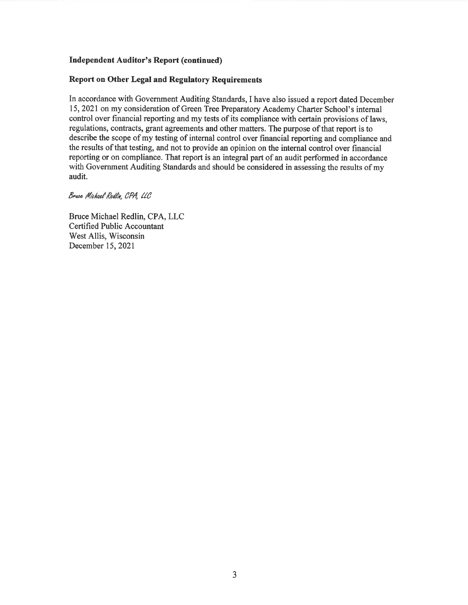#### fndependent Auditor's Report (continued)

# Report on Other Legal and Regulatory Requirements

In accordance with Government Auditing Standards, I have also issued a report dated December 15, 2021 on my consideration of Green Tree Preparatory Academy Charter School's internal control over financial reporting and my tests of its compliance with certain provisions of laws, regulations, contracts, grant agreements and other matters. The purpose of that report is to describe the scope of my testing of internal control over financial reporting and compliance and the results of that testing, and not to provide an opinion on the internal control over financial reporting or on compliance. That report is an integral part of an audit performed in accordance with Government Auditing Standards and should be considered in assessing the results of my audit.

Bruce Michael Redlin, CPA, LLC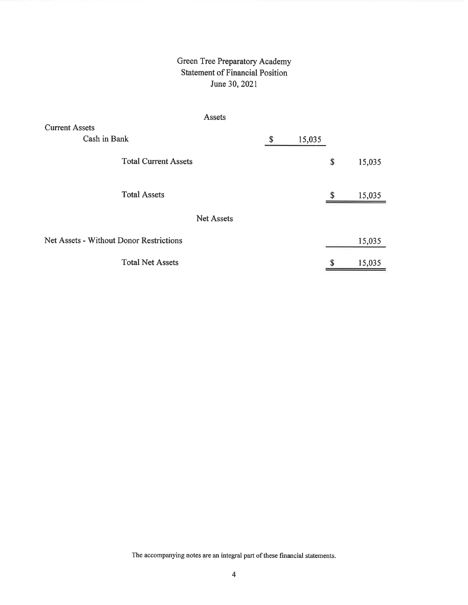# Green Tree Preparatory Academy Statement of Financial Position June 30,2021

| Assets                                  |  |        |              |
|-----------------------------------------|--|--------|--------------|
| <b>Current Assets</b><br>Cash in Bank   |  | 15,035 |              |
| <b>Total Current Assets</b>             |  |        | \$<br>15,035 |
| <b>Total Assets</b>                     |  |        | \$<br>15,035 |
| <b>Net Assets</b>                       |  |        |              |
| Net Assets - Without Donor Restrictions |  |        | 15,035       |
| <b>Total Net Assets</b>                 |  |        | \$<br>15,035 |

The accompanying notes are an integral part of these financial statements.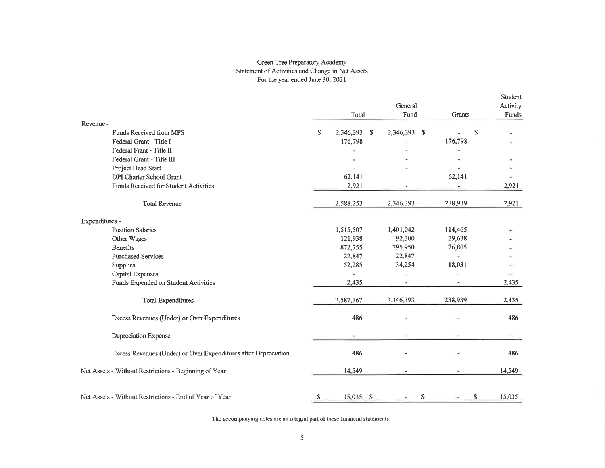#### Green Tree Preparatory Academy Statement of Activities and Change in Net Assets For the year ended June 30, 2021

|                                                                 | Total             |              | General<br>Fund           | Grants        | Student<br>Activity<br>Funds |
|-----------------------------------------------------------------|-------------------|--------------|---------------------------|---------------|------------------------------|
| Revenue -                                                       |                   |              |                           |               |                              |
| <b>Funds Received from MPS</b>                                  | \$<br>2,346,393   | $\mathbf{s}$ | $\sqrt[6]{}$<br>2,346,393 |               | \$                           |
| Federal Grant - Title I                                         | 176,798           |              |                           | 176,798       |                              |
| Federal Frant - Title II                                        |                   |              |                           |               |                              |
| Federal Grant - Title III                                       | ×                 |              |                           |               |                              |
| Project Head Start                                              |                   |              |                           |               |                              |
| DPI Charter School Grant                                        | 62,141            |              |                           | 62,141        |                              |
| <b>Funds Received for Student Activities</b>                    | 2,921             |              |                           |               | 2,921                        |
| <b>Total Revenue</b>                                            | 2,588,253         |              | 2,346,393                 | 238,939       | 2,921                        |
| Expenditures -                                                  |                   |              |                           |               |                              |
| <b>Position Salaries</b>                                        | 1,515,507         |              | 1,401,042                 | 114,465       |                              |
| Other Wages                                                     | 121,938           |              | 92,300                    | 29,638        |                              |
| <b>Benefits</b>                                                 | 872,755           |              | 795,950                   | 76,805        |                              |
| <b>Purchased Services</b>                                       | 22,847            |              | 22,847                    | ×,            |                              |
| Supplies                                                        | 52,285            |              | 34,254                    | 18,031        |                              |
| Capital Expenses                                                | ٠                 |              | $\equiv$                  |               | $\qquad \qquad \blacksquare$ |
| Funds Expended on Student Activities                            | 2,435             |              | $\omega$                  | $\frac{1}{2}$ | 2,435                        |
| <b>Total Expenditures</b>                                       | 2,587,767         |              | 2,346,393                 | 238,939       | 2,435                        |
| Excess Revenues (Under) or Over Expenditures                    | 486               |              | ie.                       | ×             | 486                          |
| Depreciation Expense                                            | ٠                 |              |                           |               |                              |
| Excess Revenues (Under) or Over Expenditures after Depreciation | 486               |              |                           |               | 486                          |
| Net Assets - Without Restrictions - Beginning of Year           | 14,549            |              |                           |               | 14,549                       |
| Net Assets - Without Restrictions - End of Year of Year         | \$<br>$15,035$ \$ |              | \$<br>$\sim$              | $\bullet$     | \$<br>15,035                 |

The accompanying notes are an integral part of these financial statements.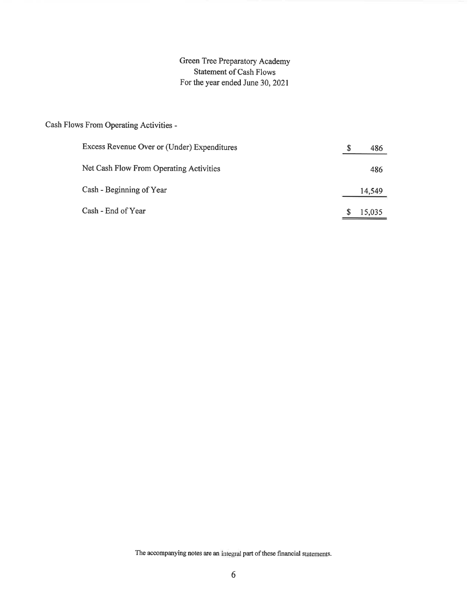# Green Tree Preparatory Academy Statement of Cash Flows For the year ended June 30, 2021

# Cash Flows From Operating Activities -

| Excess Revenue Over or (Under) Expenditures | 486    |
|---------------------------------------------|--------|
| Net Cash Flow From Operating Activities     | 486    |
| Cash - Beginning of Year                    | 14,549 |
| Cash - End of Year                          | 15,035 |

The accompanying notes are an integral part of these financial statements.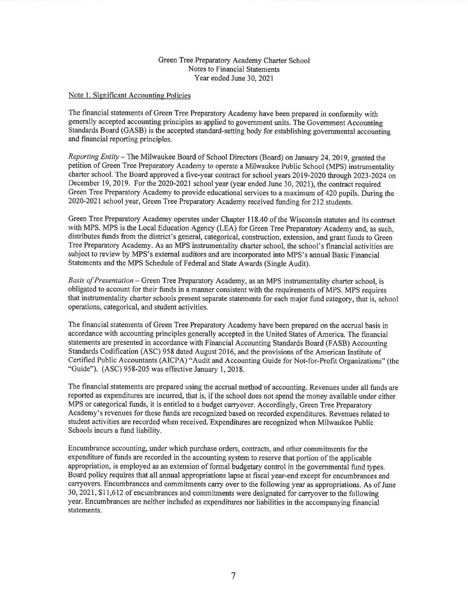#### Green Tree Preparatory Academy Charter School Notes to Financial Statements Year ended June 30, 2021

#### Note l. Significant Accounting Policies

The financial statements of Green Tree Preparatory Academy have been prepared in conformity with generally accepted accounting principles as applied to govemment units. The Government Accounting Standards Board (GASB) is the accepted standard-setting body for establishing governmental accounting and financial reporting principles.

Reporting Entity - The Milwaukee Board of School Directors (Board) on January 24, 2019, granted the petition of Green Tree Preparatory Academy to operate a Milwaukee Public School (MPS) instrumentality charter school. The Board approved a five-year contract for school years2019-2020 through 2023-2024 on December 19, 2019. For the 2020-2021 school year (year ended June 30, 2021), the contract required Green Tree Preparatory Academy to provide educational services to a maximum of 420 pupils. During the 2020-2021 school year, Green Tree Preparatory Academy received funding for 212 students.

Green Tree Preparatory Academy operates under Chapter 118.40 of the Wisconsin statutes and its contract with MPS. MPS is the Local Education Agency (LEA) for Green Tree Preparatory Academy and, as such, distributes funds from the district's general, categorical, construction, extension, and grant funds to Green Tree Preparatory Academy. As an MPS instrumentality charter school, the school's financial activities are subject to review by MPS's extemal auditors and are incorporated into MPS's annual Basic Financial Statements and the MPS Schedule of Federal and State Awards (Single Audit).

Basis of Presentation - Green Tree Preparatory Academy, as an MPS instrumentality charter school, is obligated to account for their funds in a manner consistent with the requirements of MPS. MPS requires that instrumentality charter schools present separate statements for each major fund category, that is, school operations, categorical, and student activities.

The financial statements of Green Tree Preparatory Academy have been prepared on the accrual basis in accordance with accounting principles generally accepted in the United States of America. The financial statements are presented in accordance with Financial Accounting Standards Board (FASB) Accounting Standards Codification (ASC) 958 dated August 2016, and the provisions of the American Institute of Certified Public Accountants (AICPA) "Audit and Accounting Guide for Not-for-Profit Organizations" (the "Guide"). (ASC) 958-205 was effective January 1,2018.

The financial statements are prepared using the accrual method of accounting. Revenues under all funds are reported as expenditures are incurred, that is, if the school does not spend the money available under either MPS or categorical funds, it is entitled to a budget carryover. Accordingly, Green Tree Preparatory Academy's revenues for these funds are recognized based on recorded expenditures. Revenues related to student activities are recorded when received. Expenditures are recognized when Milwaukee Public Schools incurs a fund liability.

Encumbrance accounting, under which purchase orders, contracts, and other commitments for the expenditure of funds are recorded in the accounting system to reserve that portion of the applicable appropriation, is employed as an extension of formal budgetary control in the governmental fund types. Board policy requires that all annual appropriations lapse at fiscal year-end except for encumbrances and carryovers. Encumbrances and commitrnents carry over to the following year as appropriations. As of June 30,2021, \$l1,612 of encumbrances and commitments were designated for carryover to the following year. Encumbrances are neither included as expenditures nor liabilities in the accompanying financial statements.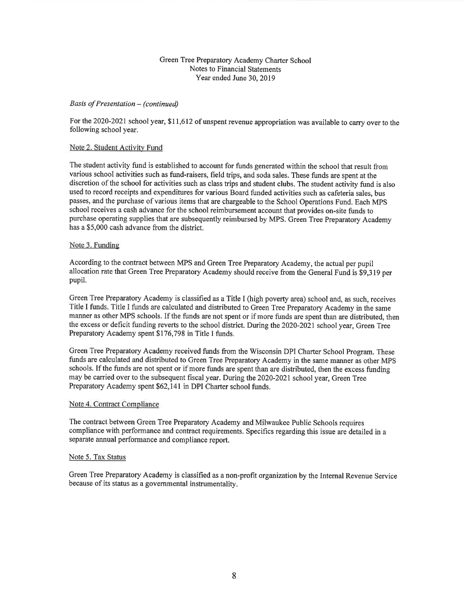#### Green Tree Preparatory Academy Charter School Notes to Financial Statements Year ended June 30, 2019

#### Basis of Presentation  $-$  (continued)

For the 2020-2021 school year, \$l l,612 of unspent revenue appropriation was available to carry over to the following school year.

#### Note 2. Student Activitv Fund

The student activity fund is established to account for funds generated within the school that result from various school activities such as fund-raisers, field trips, and soda sales. These funds are spent at the discretion of the school for activities such as class trips and student clubs. The student activity fund is also used to record receipts and expenditures for various Board funded activities such as cafeteria sales, bus passes, and the purchase of various items that are chargeable to the School Operations Fund. Each MPS school receives a cash advance for the school reimbursement account that provides on-site funds to purchase operating supplies that are subsequently reimbursed by MPS. Green Tree Preparatory Academy has a \$5,000 cash advance from the district.

#### Note 3. Funding

According to the contract between MPS and Green Tree Preparatory Academy, the actual per pupil allocation rate that Green Tree Preparatory Academy should receive from the General Fund is \$9,3 19 per pupil.

Green Tree Preparatory Academy is classified as a Title I (high poverty area) school and, as such, receives Title I funds. Title I funds are calculated and distributed to Green Tree Preparatory Academy in the same manner as other MPS schools. If the funds are not spent or if more funds are spent than are distributed, then the excess or deficit funding reverts to the school district. During the 2020-2021 school year, Green Tree Preparatory Academy spent \$176,798 in Title I funds.

Green Tree Preparatory Academy received funds from the Wisconsin DPI Charter School Program. These funds are calculated and distributed to Green Tree Preparatory Academy in the same manner as other MPS schools. If the funds are not spent or if more funds are spent than are distributed, then the excess funding may be carried over to the subsequent fiscal year. During the 2020-2021 school year, Green Tree Preparatory Academy spent \$62,141 in DPI Charter school funds.

#### Note 4. Contract Compliance

The contract between Green Tree Preparatory Academy and Milwaukee Public Schools requires compliance with performance and contract requirements. Specifics regarding this issue are detailed in <sup>a</sup> separate annual performance and compliance report.

#### Note 5. Tax Status

Green Tree Preparatory Academy is classified as a non-profit organization by the Intemal Revenue Service because of its status as a governmental instrumentality.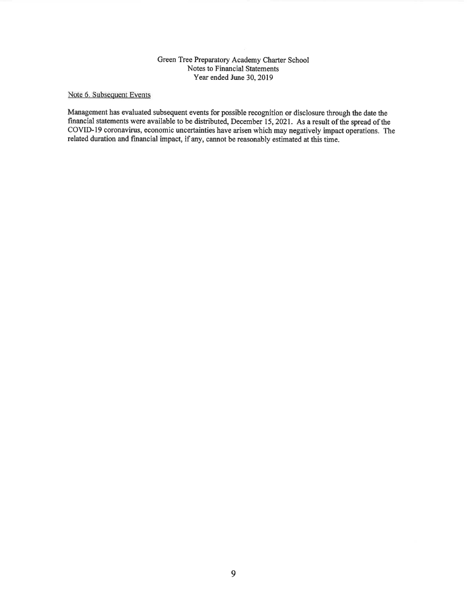#### Green Tree Preparatory Academy Charter School Notes to Financial Statements Year ended June 30, 2019

Note 6. Subsequent Events

Management has evaluated subsequent events for possible recognition or disclosure through the date the financial statements were available to be distributed, December 15,2021. As a result of the spread of the COVID-I9 coronavirus, economic uncertainties have arisen which may negatively impact operations. The related duration and financial impact, if any, cannot be reasonably estimated at this time.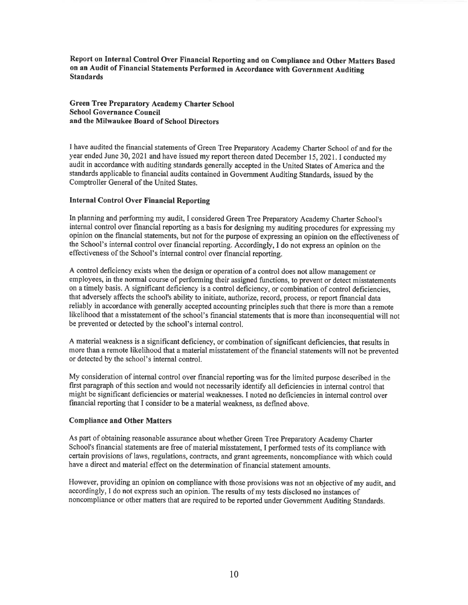Report on Internal Control Over Financial Reporting and on Compliance and Other Matters Based on an Audit of Financial Statements Performed in Accordance with Government Auditing Standards

#### Green Tree Preparatory Academy Charter School School Governance Council and the Milwaukee Board of School Directors

I have audited the financial statements of Green Tree Preparatory Academy Charter School of and for the year ended June 30, 2021 and have issued my report thereon dated December 15, 2021. I conducted my audit in accordance with auditing standards generally accepted in the United States of America and the standards applicable to financial audits contained in Government Auditing Standards, issued by the Comptroller General of the United States.

#### Internal Control Over Financial Reporting

In planning and performing my audit, I considered Green Tree Preparatory Academy Charter School's internal control over financial reporting as a basis for designing my auditing procedures for expressing my opinion on the financial statements, but not for the purpose of expressing an opinion on the effectiveness of the School's intemal control over financial reporting. Accordingly, I do not express an opinion on the effectiveness of the School's internal control over financial reporting.

A control deficiency exists when the design or operation of a control does not allow management or employees, in the normal course of performing their assigned functions, to prevent or detect misstatements on a timely basis. A significant deficiency is a control deficiency, or combination of control deficiencies, that adversely affects the school's ability to initiate, authorize, record, process, or report financial data reliably in accordance with generally accepted accounting principles such that there is more than a remote likelihood that a misstatement of the school's firancial statements that is more than inconsequential will not be prevented or detected by the school's internal control.

A material weakness is a significant deficiency, or combination of significant deficiencies, that results in more than a remote likelihood that a material misstatement of the financial statements will not be prevented or detected by the school's internal control.

My consideration of internal control over fmancial reporting was for the limited purpose described in the first paragraph of this section and would not necessarily identify all deficiencies in internal control that might be significant deficiencies or material weaknesses. I noted no deficiencies in intemal confol over financial reporting that I consider to be a material weakness, as defined above.

#### Compliance and Other Matters

As part of obtaining reasonable assurance about whether Green Tree Preparatory Academy Charter School's financial statements are free of material misstatement, I performed tests of its compliance with certain provisions of laws, regulations, contracts, and grant agreements, noncompliance with which could have a direct and material effect on the determination of financial statement amounts.

However, providing an opinion on compliance with those provisions was not an objective of my audit, and accordingly, I do not express such an opinion. The results of my tests disclosed no instances of noncompliance or other matters that are required to be reported under Government Auditing Standards.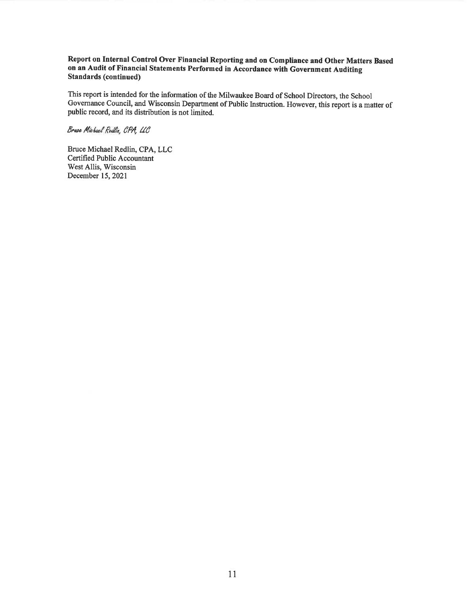#### Report on Internal Control Over Financial Reporting and on Compliance and Other Matters Based on an Audit of Financial Statements Performed in Accordance with Government Auditing **Standards (continued)**

This report is intended for the information of the Milwaukee Board of School Directors, the School Governance Council, and Wisconsin Department of Public Instruction. However, this report is a matter of public record, and its distribution is not limited.

Brace Michael Redlin, CPA, LLC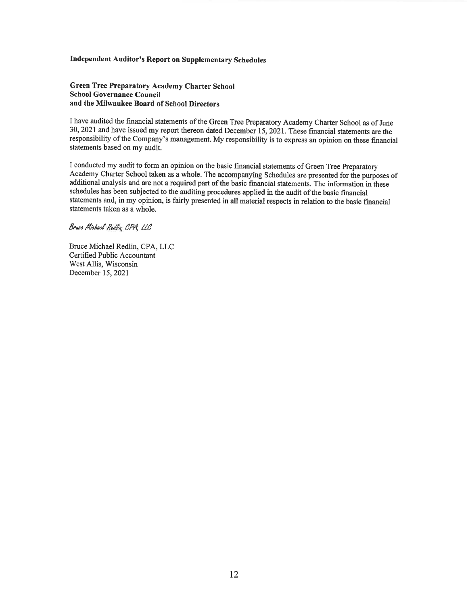# Independent Auditor's Report on Supplementary Schedules

#### **Green Tree Preparatory Academy Charter School School Governance Council** and the Milwaukee Board of School Directors

I have audited the financial statements of the Green Tree Preparatory Academy Charter School as of June 30, 2021 and have issued my report thereon dated December 15, 2021. These financial statements are the responsibility of the Company's management. My responsibility is to express an opinion on these financial statements based on my audit.

I conducted my audit to form an opinion on the basic financial statements of Green Tree Preparatory Academy Charter School taken as a whole. The accompanying Schedules are presented for the purposes of additional analysis and are not a required part of the basic financial statements. The information in these schedules has been subjected to the auditing procedures applied in the audit of the basic financial statements and, in my opinion, is fairly presented in all material respects in relation to the basic financial statements taken as a whole.

Bruce Michael Redlin, CPA, LLC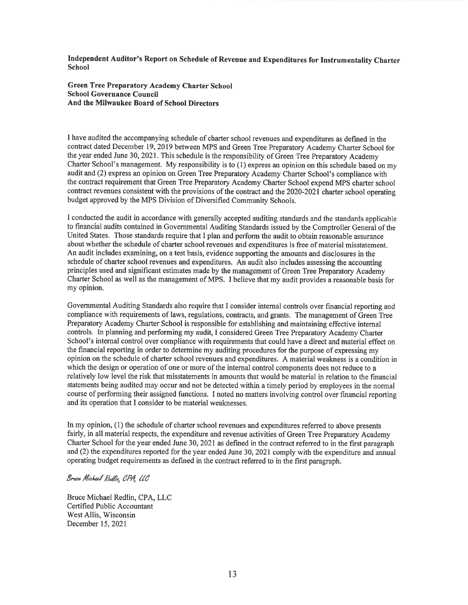Independent Audítor's Report on Schedule of Revenue and Expenditures for Instrumentality Charter School

Green Tree Preparatory Academy Charter School School Governance Council And the Milwaukee Board of School Directors

I have audited the accompanying schedule of charter school revenues and expenditures as defined in the contract dated December 19, 2019 between MPS and Green Tree Preparatory Academy Charter School for the year ended June 30,2021. This schedule is the responsibility of Green Tree Preparatory Academy Charter School's management. My responsibility is to (1) express an opinion on this schedule based on my audit and (2) express an opinion on Green Tree Preparatory Academy Charter School's compliance with the contract requirement that Green Tree Preparatory Academy Charter School expend MPS charter school contract revenues consistent with the provisions of the contract and the 2020-2021 charter school operating budget approved by the MPS Division of Diversifîed Community Schools.

I conducted the audit in accordance with generally accepted auditing standards and the standards applicable to financial audits contained in Governmental Auditing Standards issued by the Comptroller General of the United States. Those standards require that I plan and perform the audit to obtain reasonable assurance about whether the schedule of charter school revenues and expenditures is free of material misstatement. An audit includes examining, on a test basis, evidence supporting the amounts and disclosures in the schedule of charter school revenues and expenditures. An audit also includes assessing the accounting principles used and significant estimates made by the management of Green Tree Preparatory Academy Charter School as well as the management of MPS. I believe that my audit provides a reasonable basis for my opinion.

Govemmental Auditing Standards also require that I consider internal controls over financial reporting and compliance with requirements of laws, regulations, contracts, and grants. The management of Green Tree Preparatory Academy Charter School is responsible for establishing and maintaining effective internal controls. In planning and performing my audit, I considered Green Tree Preparatory Academy Charter School's internal control over compliance with requirements that could have a direct and material effect on the financial reporting in order to determine my auditing procedures for the purpose of expressing my opinion on the schedule of charter school revenues and expenditures. A material weakness is a condition in which the design or operation of one or more of the internal control components does not reduce to a relatively low level the risk that misstatements in amounts that would be material in relation to the financial statements being audited may occur and not be detected within a timely period by employees in the normal course of performing their assigned functions. I noted no matters involving contol over flrnancial reporting and its operation that I consider to be material weaknesses.

In my opinion, (1) the schedule of charter school revenues and expenditures referred to above presents fairly, in all material respects, the expenditure and revenue activities of Green Tree Preparatory Academy Charter School for the year ended June 30, 2021 as defined in the contract referred to in the first paragraph and (2) the expenditures reported for the year ended June 30, 2021 comply with the expenditure and annual operating budget requirements as defined in the contract referred to in the first paragraph.

#### Bruce Michael Redlin, CPA, LLC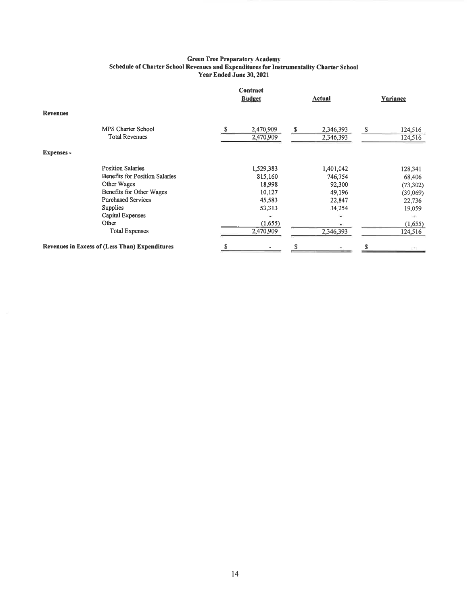# Green Tree Preparatory Academy<br>Schedule of Charter School Revenues and Expenditures for Instrumentality Charter School<br>Year Ended June 30, 2021

|                   |                                                       | Contract<br><b>Budget</b> |   | <b>Actual</b>          |   | Variance           |
|-------------------|-------------------------------------------------------|---------------------------|---|------------------------|---|--------------------|
| <b>Revenues</b>   |                                                       |                           |   |                        |   |                    |
|                   | MPS Charter School<br><b>Total Revenues</b>           | 2,470,909<br>2,470,909    | S | 2,346,393<br>2,346,393 | S | 124,516<br>124,516 |
| <b>Expenses -</b> |                                                       |                           |   |                        |   |                    |
|                   | <b>Position Salaries</b>                              | 1,529,383                 |   | 1,401,042              |   | 128,341            |
|                   | <b>Benefits for Position Salaries</b>                 | 815,160                   |   | 746,754                |   | 68,406             |
|                   | Other Wages                                           | 18,998                    |   | 92,300                 |   | (73, 302)          |
|                   | Benefits for Other Wages                              | 10,127                    |   | 49,196                 |   | (39,069)           |
|                   | <b>Purchased Services</b>                             | 45,583                    |   | 22,847                 |   | 22,736             |
|                   | <b>Supplies</b>                                       | 53,313                    |   | 34,254                 |   | 19,059             |
|                   | Capital Expenses                                      | Φ                         |   |                        |   | $\sim$             |
|                   | Other                                                 | (1,655)                   |   |                        |   | (1,655)            |
|                   | <b>Total Expenses</b>                                 | 2,470,909                 |   | 2,346,393              |   | 124,516            |
|                   | <b>Revenues in Excess of (Less Than) Expenditures</b> |                           |   |                        |   |                    |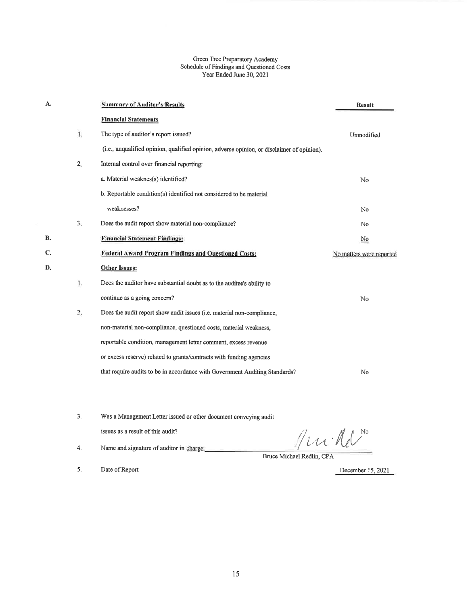#### Green Tree Preparatory Academy Schedule of Findings and Questioned Costs Year Ended June 30, 2021

| A. |     | <b>Summary of Auditor's Results</b>                                                        | <b>Result</b>             |
|----|-----|--------------------------------------------------------------------------------------------|---------------------------|
|    |     | <b>Financial Statements</b>                                                                |                           |
|    | 1.  | The type of auditor's report issued?                                                       | Unmodified                |
|    |     | (i.e., unqualified opinion, qualified opinion, adverse opinion, or disclaimer of opinion). |                           |
|    | 2.  | Internal control over financial reporting:                                                 |                           |
|    |     | a. Material weaknes(s) identified?                                                         | No                        |
|    |     | b. Reportable condition(s) identified not considered to be material                        |                           |
|    |     | weaknesses?                                                                                | No                        |
|    | 3.5 | Does the audit report show material non-compliance?                                        | No                        |
| B. |     | <b>Financial Statement Findings:</b>                                                       | $\underline{\mathrm{No}}$ |
| C. |     | <b>Federal Award Program Findings and Questioned Costs:</b>                                | No matters were reported  |
| D. |     | <b>Other Issues:</b>                                                                       |                           |
|    | 1.  | Does the auditor have substantial doubt as to the auditee's ability to                     |                           |
|    |     | continue as a going concern?                                                               | No                        |
|    | 2.  | Does the audit report show audit issues (i.e. material non-compliance,                     |                           |
|    |     | non-material non-compliance, questioned costs, material weakness,                          |                           |
|    |     | reportable condition, management letter comment, excess revenue                            |                           |
|    |     | or excess reserve) related to grants/contracts with funding agencies                       |                           |
|    |     | that require audits to be in accordance with Government Auditing Standards?                | No                        |
|    |     |                                                                                            |                           |
|    |     |                                                                                            |                           |

3. Was a Management Letter issued or other document conveying audit issues as a result of this audit?

/tnn lÜV"

Bruce Michael Redlin, CPA

5. Date of Report

4. Name and signature of auditor in charge:

December 15, 2021